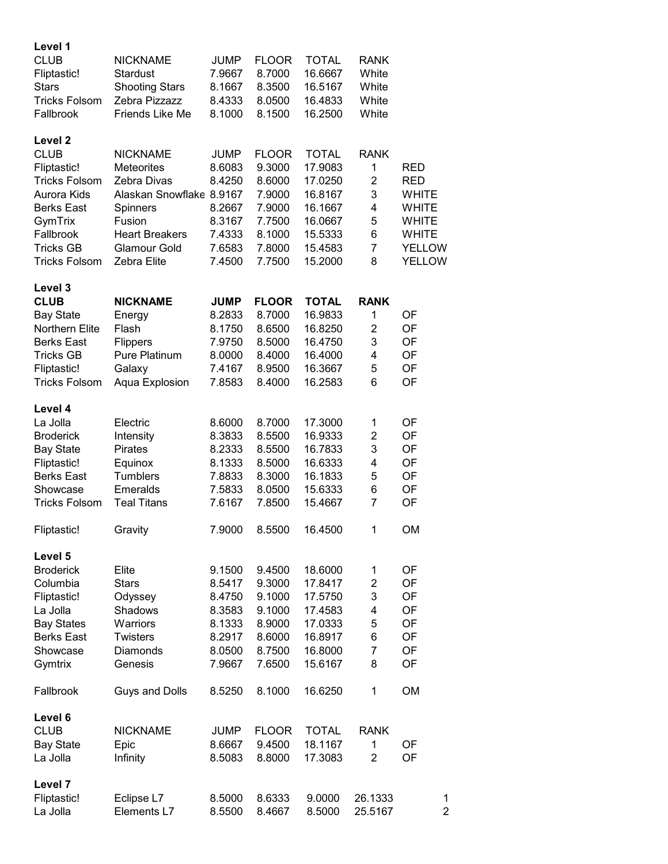| Level 1<br><b>CLUB</b>           | <b>NICKNAME</b>                 |                  |                        |                         | <b>RANK</b>        |                              |
|----------------------------------|---------------------------------|------------------|------------------------|-------------------------|--------------------|------------------------------|
| Fliptastic!                      | Stardust                        | JUMP<br>7.9667   | <b>FLOOR</b><br>8.7000 | <b>TOTAL</b><br>16.6667 | White              |                              |
| <b>Stars</b>                     | <b>Shooting Stars</b>           | 8.1667           | 8.3500                 | 16.5167                 | White              |                              |
| <b>Tricks Folsom</b>             | Zebra Pizzazz                   | 8.4333           | 8.0500                 | 16.4833                 | White              |                              |
| Fallbrook                        | Friends Like Me                 | 8.1000           | 8.1500                 | 16.2500                 | White              |                              |
| Level 2                          |                                 |                  |                        |                         |                    |                              |
| <b>CLUB</b>                      | <b>NICKNAME</b>                 | <b>JUMP</b>      | <b>FLOOR</b>           | <b>TOTAL</b>            | <b>RANK</b>        |                              |
| Fliptastic!                      | <b>Meteorites</b>               | 8.6083           | 9.3000                 | 17.9083                 | 1                  | <b>RED</b>                   |
| <b>Tricks Folsom</b>             | Zebra Divas                     | 8.4250           | 8.6000                 | 17.0250                 | $\overline{2}$     | <b>RED</b>                   |
| Aurora Kids                      | Alaskan Snowflake 8.9167        |                  | 7.9000                 | 16.8167                 | 3                  | <b>WHITE</b>                 |
| <b>Berks East</b>                | Spinners                        | 8.2667           | 7.9000                 | 16.1667                 | 4                  | <b>WHITE</b>                 |
| GymTrix<br>Fallbrook             | Fusion<br><b>Heart Breakers</b> | 8.3167<br>7.4333 | 7.7500<br>8.1000       | 16.0667<br>15.5333      | 5<br>6             | <b>WHITE</b><br><b>WHITE</b> |
| <b>Tricks GB</b>                 | <b>Glamour Gold</b>             | 7.6583           | 7.8000                 | 15.4583                 | $\overline{7}$     | <b>YELLOW</b>                |
| <b>Tricks Folsom</b>             | Zebra Elite                     | 7.4500           | 7.7500                 | 15.2000                 | 8                  | <b>YELLOW</b>                |
| Level 3                          |                                 |                  |                        |                         |                    |                              |
| <b>CLUB</b>                      | <b>NICKNAME</b>                 | <b>JUMP</b>      | <b>FLOOR</b>           | <b>TOTAL</b>            | <b>RANK</b>        |                              |
| <b>Bay State</b>                 | Energy                          | 8.2833           | 8.7000                 | 16.9833                 | 1                  | OF                           |
| Northern Elite                   | Flash                           | 8.1750           | 8.6500                 | 16.8250                 | $\overline{2}$     | OF                           |
| <b>Berks East</b>                | Flippers                        | 7.9750           | 8.5000                 | 16.4750                 | 3                  | OF                           |
| <b>Tricks GB</b>                 | Pure Platinum                   | 8.0000           | 8.4000                 | 16.4000                 | 4                  | OF                           |
| Fliptastic!                      | Galaxy                          | 7.4167           | 8.9500                 | 16.3667                 | 5                  | OF                           |
| <b>Tricks Folsom</b>             | Aqua Explosion                  | 7.8583           | 8.4000                 | 16.2583                 | 6                  | OF                           |
| Level 4                          |                                 |                  |                        |                         |                    |                              |
| La Jolla                         | Electric                        | 8.6000           | 8.7000                 | 17.3000                 | 1                  | OF                           |
| <b>Broderick</b>                 | Intensity                       | 8.3833           | 8.5500                 | 16.9333                 | $\overline{2}$     | OF                           |
| <b>Bay State</b>                 | Pirates                         | 8.2333           | 8.5500                 | 16.7833                 | 3                  | OF                           |
| Fliptastic!<br><b>Berks East</b> | Equinox<br>Tumblers             | 8.1333<br>7.8833 | 8.5000<br>8.3000       | 16.6333<br>16.1833      | 4<br>5             | OF<br>OF                     |
| Showcase                         | Emeralds                        | 7.5833           | 8.0500                 | 15.6333                 | 6                  | OF                           |
| <b>Tricks Folsom</b>             | <b>Teal Titans</b>              | 7.6167           | 7.8500                 | 15.4667                 | 7                  | OF                           |
| Fliptastic!                      | Gravity                         | 7.9000           | 8.5500                 | 16.4500                 | 1                  | <b>OM</b>                    |
| Level 5                          |                                 |                  |                        |                         |                    |                              |
| <b>Broderick</b>                 | Elite                           | 9.1500           | 9.4500                 | 18.6000                 | 1                  | OF                           |
| Columbia                         | <b>Stars</b>                    | 8.5417           | 9.3000                 | 17.8417                 | 2                  | OF                           |
| Fliptastic!                      | Odyssey                         | 8.4750           | 9.1000                 | 17.5750                 | 3                  | OF                           |
| La Jolla                         | Shadows                         | 8.3583           | 9.1000                 | 17.4583                 | 4                  | OF                           |
| <b>Bay States</b>                | Warriors                        | 8.1333           | 8.9000                 | 17.0333                 | 5                  | OF                           |
| <b>Berks East</b>                | <b>Twisters</b>                 | 8.2917           | 8.6000                 | 16.8917                 | 6                  | OF                           |
| Showcase                         | <b>Diamonds</b>                 | 8.0500           | 8.7500                 | 16.8000                 | 7                  | OF                           |
| Gymtrix                          | Genesis                         | 7.9667           | 7.6500                 | 15.6167                 | 8                  | OF                           |
| Fallbrook                        | <b>Guys and Dolls</b>           | 8.5250           | 8.1000                 | 16.6250                 | 1                  | OM                           |
| Level 6                          |                                 |                  |                        |                         |                    |                              |
| <b>CLUB</b>                      | <b>NICKNAME</b>                 | <b>JUMP</b>      | <b>FLOOR</b>           | <b>TOTAL</b>            | <b>RANK</b>        |                              |
| <b>Bay State</b>                 | Epic                            | 8.6667           | 9.4500                 | 18.1167                 | 1                  | OF                           |
| La Jolla                         | Infinity                        | 8.5083           | 8.8000                 | 17.3083                 | $\overline{2}$     | OF                           |
| Level 7                          |                                 |                  |                        |                         |                    |                              |
| Fliptastic!<br>La Jolla          | Eclipse L7<br>Elements L7       | 8.5000<br>8.5500 | 8.6333<br>8.4667       | 9.0000<br>8.5000        | 26.1333<br>25.5167 | 1<br>$\overline{2}$          |
|                                  |                                 |                  |                        |                         |                    |                              |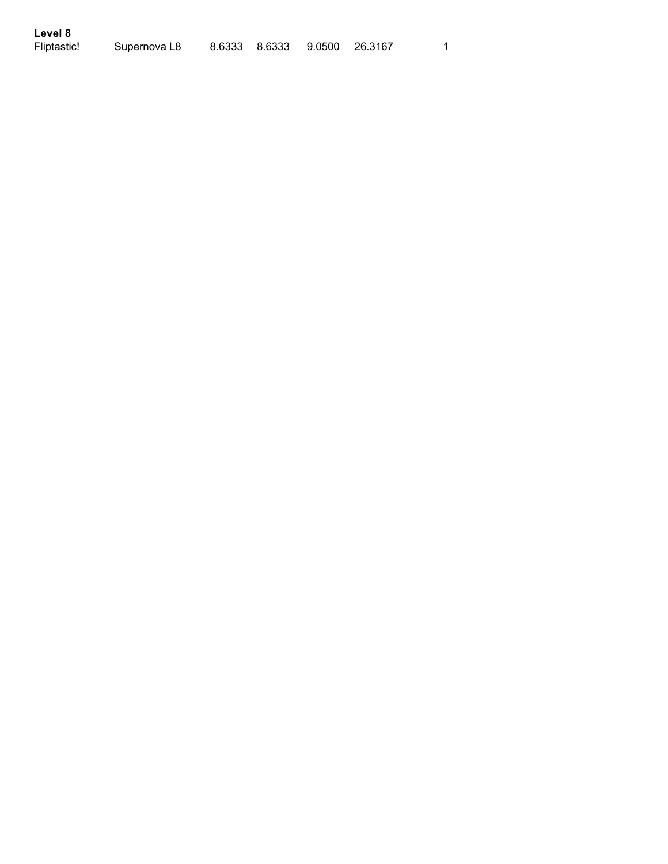| Level 8     |              |                              |  |
|-------------|--------------|------------------------------|--|
| Fliptastic! | Supernova L8 | 8.6333 8.6333 9.0500 26.3167 |  |

 $\overline{1}$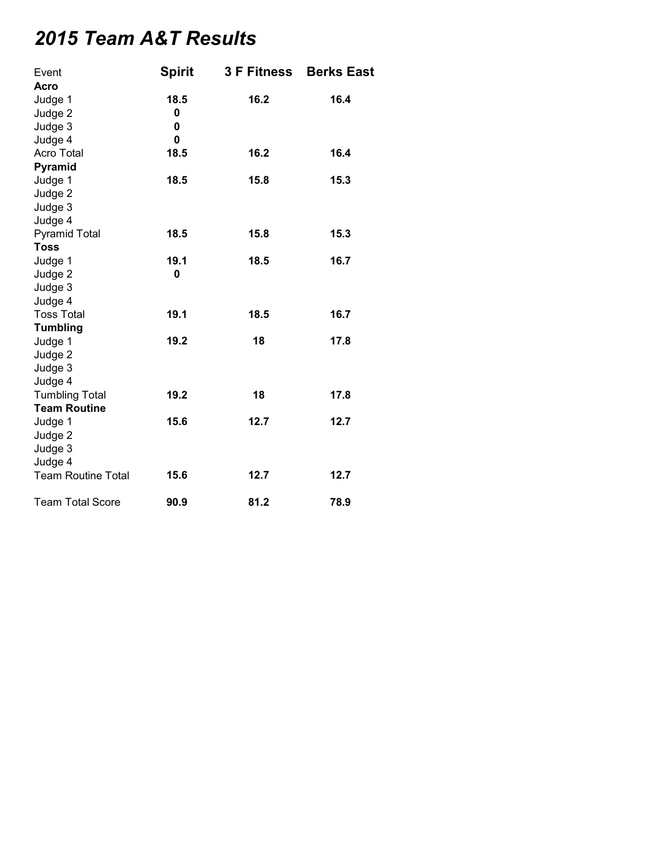## *2015 Team A&T Results*

| Event                     | <b>Spirit</b> | <b>3 F Fitness</b> | <b>Berks East</b> |
|---------------------------|---------------|--------------------|-------------------|
| Acro                      |               |                    |                   |
| Judge 1                   | 18.5          | 16.2               | 16.4              |
| Judge 2                   | 0             |                    |                   |
| Judge 3                   | 0             |                    |                   |
| Judge 4                   | 0             |                    |                   |
| Acro Total                | 18.5          | 16.2               | 16.4              |
| Pyramid                   |               |                    |                   |
| Judge 1                   | 18.5          | 15.8               | 15.3              |
| Judge 2                   |               |                    |                   |
| Judge 3                   |               |                    |                   |
| Judge 4                   |               |                    |                   |
| <b>Pyramid Total</b>      | 18.5          | 15.8               | 15.3              |
| <b>Toss</b>               |               |                    |                   |
| Judge 1                   | 19.1          | 18.5               | 16.7              |
| Judge 2                   | 0             |                    |                   |
| Judge 3                   |               |                    |                   |
| Judge 4                   |               |                    |                   |
| <b>Toss Total</b>         | 19.1          | 18.5               | 16.7              |
| <b>Tumbling</b>           |               |                    |                   |
| Judge 1                   | 19.2          | 18                 | 17.8              |
| Judge 2                   |               |                    |                   |
| Judge 3                   |               |                    |                   |
| Judge 4                   |               |                    |                   |
| <b>Tumbling Total</b>     | 19.2          | 18                 | 17.8              |
| <b>Team Routine</b>       |               |                    |                   |
| Judge 1                   | 15.6          | 12.7               | 12.7              |
| Judge 2                   |               |                    |                   |
| Judge 3                   |               |                    |                   |
| Judge 4                   |               |                    |                   |
| <b>Team Routine Total</b> | 15.6          | 12.7               | 12.7              |
| <b>Team Total Score</b>   | 90.9          | 81.2               | 78.9              |